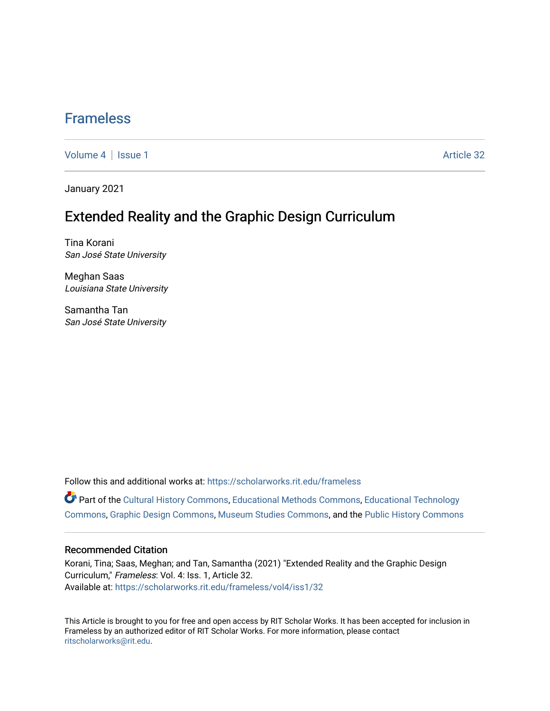## [Frameless](https://scholarworks.rit.edu/frameless)

[Volume 4](https://scholarworks.rit.edu/frameless/vol4) | [Issue 1](https://scholarworks.rit.edu/frameless/vol4/iss1) Article 32

January 2021

### Extended Reality and the Graphic Design Curriculum

Tina Korani San José State University

Meghan Saas Louisiana State University

Samantha Tan San José State University

Follow this and additional works at: [https://scholarworks.rit.edu/frameless](https://scholarworks.rit.edu/frameless?utm_source=scholarworks.rit.edu%2Fframeless%2Fvol4%2Fiss1%2F32&utm_medium=PDF&utm_campaign=PDFCoverPages)

Part of the [Cultural History Commons](https://network.bepress.com/hgg/discipline/496?utm_source=scholarworks.rit.edu%2Fframeless%2Fvol4%2Fiss1%2F32&utm_medium=PDF&utm_campaign=PDFCoverPages), [Educational Methods Commons](https://network.bepress.com/hgg/discipline/1227?utm_source=scholarworks.rit.edu%2Fframeless%2Fvol4%2Fiss1%2F32&utm_medium=PDF&utm_campaign=PDFCoverPages), [Educational Technology](https://network.bepress.com/hgg/discipline/1415?utm_source=scholarworks.rit.edu%2Fframeless%2Fvol4%2Fiss1%2F32&utm_medium=PDF&utm_campaign=PDFCoverPages)  [Commons](https://network.bepress.com/hgg/discipline/1415?utm_source=scholarworks.rit.edu%2Fframeless%2Fvol4%2Fiss1%2F32&utm_medium=PDF&utm_campaign=PDFCoverPages), [Graphic Design Commons](https://network.bepress.com/hgg/discipline/1134?utm_source=scholarworks.rit.edu%2Fframeless%2Fvol4%2Fiss1%2F32&utm_medium=PDF&utm_campaign=PDFCoverPages), [Museum Studies Commons](https://network.bepress.com/hgg/discipline/1366?utm_source=scholarworks.rit.edu%2Fframeless%2Fvol4%2Fiss1%2F32&utm_medium=PDF&utm_campaign=PDFCoverPages), and the [Public History Commons](https://network.bepress.com/hgg/discipline/1292?utm_source=scholarworks.rit.edu%2Fframeless%2Fvol4%2Fiss1%2F32&utm_medium=PDF&utm_campaign=PDFCoverPages) 

#### Recommended Citation

Korani, Tina; Saas, Meghan; and Tan, Samantha (2021) "Extended Reality and the Graphic Design Curriculum," Frameless: Vol. 4: Iss. 1, Article 32. Available at: [https://scholarworks.rit.edu/frameless/vol4/iss1/32](https://scholarworks.rit.edu/frameless/vol4/iss1/32?utm_source=scholarworks.rit.edu%2Fframeless%2Fvol4%2Fiss1%2F32&utm_medium=PDF&utm_campaign=PDFCoverPages) 

This Article is brought to you for free and open access by RIT Scholar Works. It has been accepted for inclusion in Frameless by an authorized editor of RIT Scholar Works. For more information, please contact [ritscholarworks@rit.edu](mailto:ritscholarworks@rit.edu).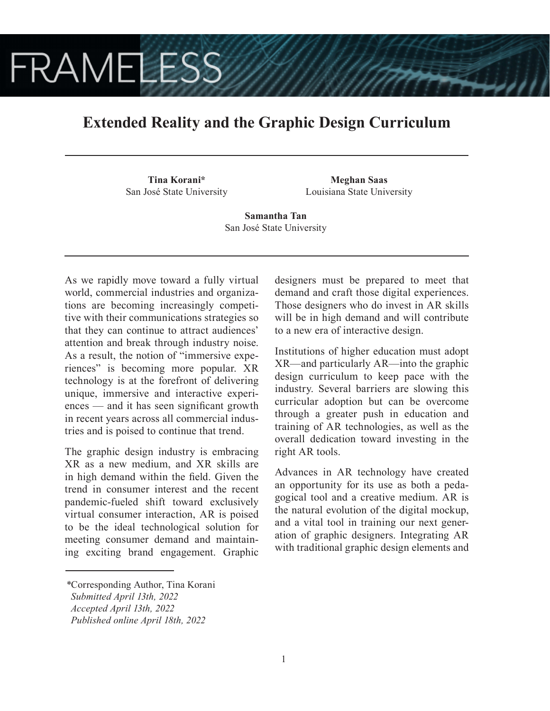# **FRAMELESS**

## **Extended Reality and the Graphic Design Curriculum**

**Tina Korani\*** San José State University

**Meghan Saas** Louisiana State University

**Samantha Tan** San José State University

As we rapidly move toward a fully virtual world, commercial industries and organizations are becoming increasingly competitive with their communications strategies so that they can continue to attract audiences' attention and break through industry noise. As a result, the notion of "immersive experiences" is becoming more popular. XR technology is at the forefront of delivering unique, immersive and interactive experiences — and it has seen significant growth in recent years across all commercial industries and is poised to continue that trend.

The graphic design industry is embracing XR as a new medium, and XR skills are in high demand within the field. Given the trend in consumer interest and the recent pandemic-fueled shift toward exclusively virtual consumer interaction, AR is poised to be the ideal technological solution for meeting consumer demand and maintaining exciting brand engagement. Graphic designers must be prepared to meet that demand and craft those digital experiences. Those designers who do invest in AR skills will be in high demand and will contribute to a new era of interactive design.

Institutions of higher education must adopt XR—and particularly AR—into the graphic design curriculum to keep pace with the industry. Several barriers are slowing this curricular adoption but can be overcome through a greater push in education and training of AR technologies, as well as the overall dedication toward investing in the right AR tools.

Advances in AR technology have created an opportunity for its use as both a pedagogical tool and a creative medium. AR is the natural evolution of the digital mockup, and a vital tool in training our next generation of graphic designers. Integrating AR with traditional graphic design elements and

*<sup>\*</sup>*Corresponding Author, Tina Korani

*Submitted April 13th, 2022*

*Accepted April 13th, 2022*

*Published online April 18th, 2022*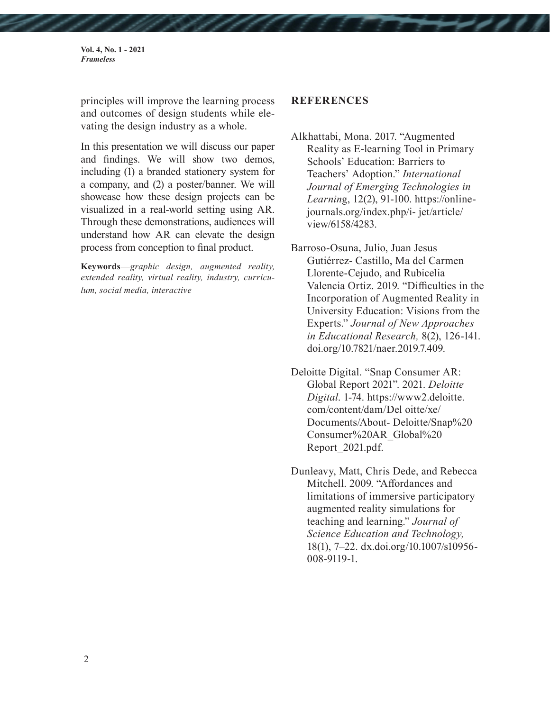**Vol. 4, No. 1 - 2021** *Frameless*

principles will improve the learning process and outcomes of design students while elevating the design industry as a whole.

In this presentation we will discuss our paper and findings. We will show two demos, including (1) a branded stationery system for a company, and (2) a poster/banner. We will showcase how these design projects can be visualized in a real-world setting using AR. Through these demonstrations, audiences will understand how AR can elevate the design process from conception to final product.

**Keywords**—*graphic design, augmented reality, extended reality, virtual reality, industry, curriculum, social media, interactive* 

### **REFERENCES**

Alkhattabi, Mona. 2017. "Augmented Reality as E-learning Tool in Primary Schools' Education: Barriers to Teachers' Adoption." *International Journal of Emerging Technologies in Learnin*g, 12(2), 91-100. https://onlinejournals.org/index.php/i- jet/article/ view/6158/4283.

Barroso-Osuna, Julio, Juan Jesus Gutiérrez- Castillo, Ma del Carmen Llorente-Cejudo, and Rubicelia Valencia Ortiz. 2019. "Difficulties in the Incorporation of Augmented Reality in University Education: Visions from the Experts." *Journal of New Approaches in Educational Research,* 8(2), 126-141. doi.org/10.7821/naer.2019.7.409.

Deloitte Digital. "Snap Consumer AR: Global Report 2021". 2021. *Deloitte Digital*. 1-74. https://www2.deloitte. com/content/dam/Del oitte/xe/ Documents/About- Deloitte/Snap%20 Consumer%20AR\_Global%20 Report\_2021.pdf.

Dunleavy, Matt, Chris Dede, and Rebecca Mitchell. 2009. "Affordances and limitations of immersive participatory augmented reality simulations for teaching and learning." *Journal of Science Education and Technology,* 18(1), 7–22. dx.doi.org/10.1007/s10956- 008-9119-1.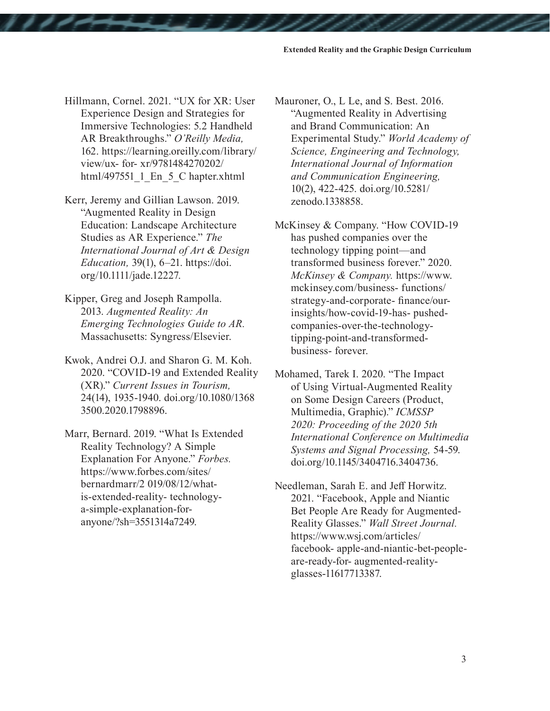- Hillmann, Cornel. 2021. "UX for XR: User Experience Design and Strategies for Immersive Technologies: 5.2 Handheld AR Breakthroughs." *O'Reilly Media,* 162. https://learning.oreilly.com/library/ view/ux- for- xr/9781484270202/ html/497551\_1\_En\_5\_C hapter.xhtml
- Kerr, Jeremy and Gillian Lawson. 2019. "Augmented Reality in Design Education: Landscape Architecture Studies as AR Experience." *The International Journal of Art & Design Education,* 39(1), 6–21. https://doi. org/10.1111/jade.12227.
- Kipper, Greg and Joseph Rampolla. 2013. *Augmented Reality: An Emerging Technologies Guide to AR.*  Massachusetts: Syngress/Elsevier.
- Kwok, Andrei O.J. and Sharon G. M. Koh. 2020. "COVID-19 and Extended Reality (XR)." *Current Issues in Tourism,* 24(14), 1935-1940. doi.org/10.1080/1368 3500.2020.1798896.
- Marr, Bernard. 2019. "What Is Extended Reality Technology? A Simple Explanation For Anyone." *Forbes.* https://www.forbes.com/sites/ bernardmarr/2 019/08/12/whatis-extended-reality- technologya-simple-explanation-foranyone/?sh=3551314a7249.

Mauroner, O., L Le, and S. Best. 2016. "Augmented Reality in Advertising and Brand Communication: An Experimental Study." *World Academy of Science, Engineering and Technology, International Journal of Information and Communication Engineering,*  10(2), 422-425. doi.org/10.5281/ zenodo.1338858.

McKinsey & Company. "How COVID-19 has pushed companies over the technology tipping point—and transformed business forever." 2020. *McKinsey & Company.* https://www. mckinsey.com/business- functions/ strategy-and-corporate- finance/ourinsights/how-covid-19-has- pushedcompanies-over-the-technologytipping-point-and-transformedbusiness- forever.

Mohamed, Tarek I. 2020. "The Impact of Using Virtual-Augmented Reality on Some Design Careers (Product, Multimedia, Graphic)." *ICMSSP 2020: Proceeding of the 2020 5th International Conference on Multimedia Systems and Signal Processing,* 54-59. doi.org/10.1145/3404716.3404736.

Needleman, Sarah E. and Jeff Horwitz. 2021. "Facebook, Apple and Niantic Bet People Are Ready for Augmented-Reality Glasses." *Wall Street Journal.*  https://www.wsj.com/articles/ facebook- apple-and-niantic-bet-peopleare-ready-for- augmented-realityglasses-11617713387.